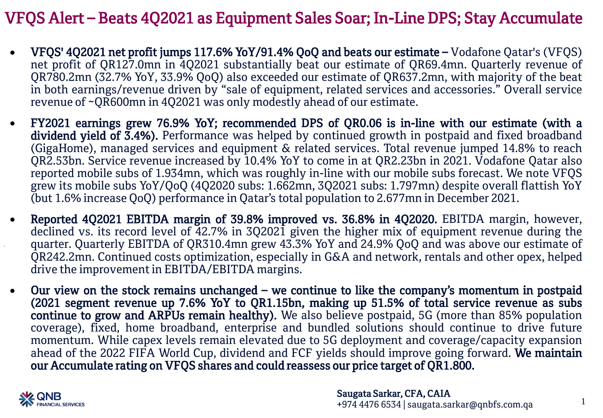# VFQS Alert – Beats 4Q2021 as Equipment Sales Soar; In-Line DPS; Stay Accumulate

- VFQS' 4Q2021 net profit jumps 117.6% YoY/91.4% QoQ and beats our estimate Vodafone Qatar's (VFQS) net profit of QR127.0mn in 4Q2021 substantially beat our estimate of QR69.4mn. Quarterly revenue of QR780.2mn (32.7% YoY, 33.9% QoQ) also exceeded our estimate of QR637.2mn, with majority of the beat in both earnings/revenue driven by "sale of equipment, related services and accessories." Overall service revenue of ~QR600mn in 4Q2021 was only modestly ahead of our estimate.
- FY2021 earnings grew 76.9% YoY; recommended DPS of QR0.06 is in-line with our estimate (with a dividend yield of 3.4%). Performance was helped by continued growth in postpaid and fixed broadband (GigaHome), managed services and equipment & related services. Total revenue jumped 14.8% to reach QR2.53bn. Service revenue increased by 10.4% YoY to come in at QR2.23bn in 2021. Vodafone Qatar also reported mobile subs of 1.934mn, which was roughly in-line with our mobile subs forecast. We note VFQS grew its mobile subs YoY/QoQ (4Q2020 subs: 1.662mn, 3Q2021 subs: 1.797mn) despite overall flattish YoY (but 1.6% increase QoQ) performance in Qatar's total population to 2.677mn in December 2021.
- Reported 4Q2021 EBITDA margin of 39.8% improved vs. 36.8% in 4Q2020. EBITDA margin, however, declined vs. its record level of 42.7% in 3Q2021 given the higher mix of equipment revenue during the quarter. Quarterly EBITDA of QR310.4mn grew 43.3% YoY and 24.9% QoQ and was above our estimate of QR242.2mn. Continued costs optimization, especially in G&A and network, rentals and other opex, helped drive the improvementin EBITDA/EBITDA margins.
- Our view on the stock remains unchanged we continue to like the company's momentum in postpaid (2021 segment revenue up 7.6% YoY to QR1.15bn, making up 51.5% of total service revenue as subs continue to grow and ARPUs remain healthy). We also believe postpaid, 5G (more than 85% population coverage), fixed, home broadband, enterprise and bundled solutions should continue to drive future momentum. While capex levels remain elevated due to 5G deployment and coverage/capacity expansion ahead of the 2022 FIFA World Cup, dividend and FCF yields should improve going forward. We maintain our Accumulate rating on VFQS shares and could reassess our price target of QR1.800.



1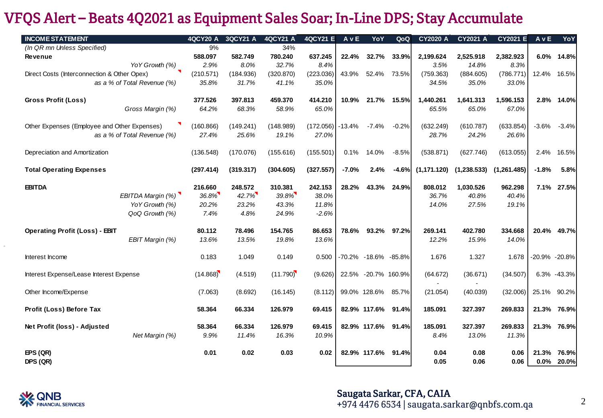## VFQS Alert – Beats 4Q2021 as Equipment Sales Soar; In-Line DPS; Stay Accumulate

| <b>INCOME STATEMENT</b>                                                     |                   | <b>4QCY20 A</b> | 3QCY21 A  | 4QCY21 A  | 4QCY21 E  | AvE      | YoY                  | QoQ         | <b>CY2020 A</b> | CY2021 A    | <b>CY2021 E</b> | AvE           | YoY         |
|-----------------------------------------------------------------------------|-------------------|-----------------|-----------|-----------|-----------|----------|----------------------|-------------|-----------------|-------------|-----------------|---------------|-------------|
| (In QR mn Unless Specified)                                                 |                   | 9%              |           | 34%       |           |          |                      |             |                 |             |                 |               |             |
| Revenue                                                                     |                   | 588.097         | 582.749   | 780.240   | 637.245   | 22.4%    | 32.7%                | 33.9%       | 2,199.624       | 2,525.918   | 2,382.923       | $6.0\%$       | 14.8%       |
|                                                                             | YoY Growth (%)    | 2.9%            | 8.0%      | 32.7%     | 8.4%      |          |                      |             | 3.5%            | 14.8%       | 8.3%            |               |             |
| Direct Costs (Interconnection & Other Opex)                                 |                   | (210.571)       | (184.936) | (320.870) | (223.036) | 43.9%    |                      | 52.4% 73.5% | (759.363)       | (884.605)   | (786.771)       |               | 12.4% 16.5% |
| as a % of Total Revenue (%)                                                 |                   | 35.8%           | 31.7%     | 41.1%     | 35.0%     |          |                      |             | 34.5%           | 35.0%       | 33.0%           |               |             |
| <b>Gross Profit (Loss)</b>                                                  |                   | 377.526         | 397.813   | 459.370   | 414.210   | 10.9%    | 21.7%                | 15.5%       | 1,440.261       | 1,641.313   | 1,596.153       |               | 2.8% 14.0%  |
|                                                                             | Gross Margin (%)  | 64.2%           | 68.3%     | 58.9%     | 65.0%     |          |                      |             | 65.5%           | 65.0%       | 67.0%           |               |             |
| Other Expenses (Employee and Other Expenses)<br>as a % of Total Revenue (%) |                   | (160.866)       | (149.241) | (148.989) | (172.056) | $-13.4%$ | $-7.4%$              | $-0.2%$     | (632.249)       | (610.787)   | (633.854)       | $-3.6%$       | $-3.4%$     |
|                                                                             |                   | 27.4%           | 25.6%     | 19.1%     | 27.0%     |          |                      |             | 28.7%           | 24.2%       | 26.6%           |               |             |
| Depreciation and Amortization                                               |                   | (136.548)       | (170.076) | (155.616) | (155.501) | 0.1%     | 14.0%                | $-8.5%$     | (538.871)       | (627.746)   | (613.055)       | 2.4%          | 16.5%       |
| <b>Total Operating Expenses</b>                                             |                   | (297.414)       | (319.317) | (304.605) | (327.557) | $-7.0%$  | 2.4%                 | $-4.6%$     | (1, 171.120)    | (1,238.533) | (1, 261.485)    | $-1.8%$       | 5.8%        |
| <b>EBITDA</b>                                                               |                   | 216.660         | 248.572   | 310.381   | 242.153   | 28.2%    |                      | 43.3% 24.9% | 808.012         | 1,030.526   | 962.298         |               | 7.1% 27.5%  |
|                                                                             | EBITDA Margin (%) | 36.8%           | 42.7%     | 39.8%     | 38.0%     |          |                      |             | 36.7%           | 40.8%       | 40.4%           |               |             |
|                                                                             | YoY Growth (%)    | 20.2%           | 23.2%     | 43.3%     | 11.8%     |          |                      |             | 14.0%           | 27.5%       | 19.1%           |               |             |
|                                                                             | QoQ Growth (%)    | 7.4%            | 4.8%      | 24.9%     | $-2.6%$   |          |                      |             |                 |             |                 |               |             |
| <b>Operating Profit (Loss) - EBIT</b>                                       |                   | 80.112          | 78.496    | 154.765   | 86.653    | 78.6%    |                      | 93.2% 97.2% | 269.141         | 402.780     | 334.668         | 20.4%         | 49.7%       |
|                                                                             | EBIT Margin (%)   | 13.6%           | 13.5%     | 19.8%     | 13.6%     |          |                      |             | 12.2%           | 15.9%       | 14.0%           |               |             |
| Interest Income                                                             |                   | 0.183           | 1.049     | 0.149     | 0.500     |          | -70.2% -18.6% -85.8% |             | 1.676           | 1.327       | 1.678           | -20.9% -20.8% |             |
| Interest Expense/Lease Interest Expense                                     |                   | (14.868)        | (4.519)   | (11.790)  | (9.626)   |          | 22.5% -20.7% 160.9%  |             | (64.672)        | (36.671)    | (34.507)        |               | 6.3% -43.3% |
| Other Income/Expense                                                        |                   | (7.063)         | (8.692)   | (16.145)  | (8.112)   |          | 99.0% 128.6%         | 85.7%       | (21.054)        | (40.039)    | (32.006)        | 25.1%         | 90.2%       |
| Profit (Loss) Before Tax                                                    |                   | 58.364          | 66.334    | 126.979   | 69.415    |          | 82.9% 117.6% 91.4%   |             | 185.091         | 327.397     | 269.833         |               | 21.3% 76.9% |
| Net Profit (loss) - Adjusted                                                |                   | 58.364          | 66.334    | 126.979   | 69.415    |          | 82.9% 117.6% 91.4%   |             | 185.091         | 327.397     | 269.833         |               | 21.3% 76.9% |
|                                                                             | Net Margin (%)    | 9.9%            | 11.4%     | 16.3%     | 10.9%     |          |                      |             | 8.4%            | 13.0%       | 11.3%           |               |             |
| EPS(QR)                                                                     |                   | 0.01            | 0.02      | 0.03      | 0.02      |          | 82.9% 117.6%         | 91.4%       | 0.04            | 0.08        | 0.06            | 21.3%         | 76.9%       |
| DPS (QR)                                                                    |                   |                 |           |           |           |          |                      |             | 0.05            | 0.06        | 0.06            |               | 0.0% 20.0%  |